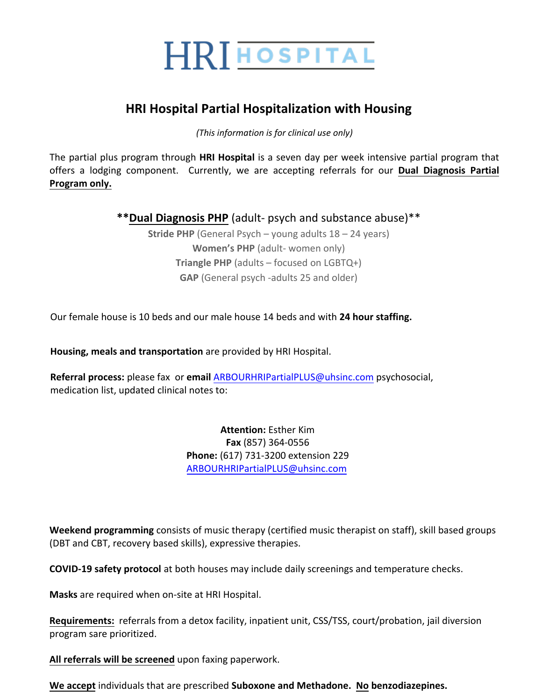

## **HRI Hospital Partial Hospitalization with Housing**

*(This information is for clinical use only)* 

The partial plus program through **HRI Hospital** is a seven day per week intensive partial program that offers a lodging component. Currently, we are accepting referrals for our **Dual Diagnosis Partial Program only.**

**\*\*Dual Diagnosis PHP** (adult- psych and substance abuse)\*\*

**Stride PHP** (General Psych – young adults 18 – 24 years) **Women's PHP** (adult- women only) **Triangle PHP** (adults – focused on LGBTQ+) **GAP** (General psych -adults 25 and older)

Our female house is 10 beds and our male house 14 beds and with **24 hour staffing.**

**Housing, meals and transportation** are provided by HRI Hospital.

**Referral process:** please fax or **email** ARBOURHRIPartialPLUS@uhsinc.com psychosocial, medication list, updated clinical notes to:

> **Attention:** Esther Kim **Fax** (857) 364-0556 **Phone:** (617) 731-3200 extension 229 ARBOURHRIPartialPLUS@uhsinc.com

**Weekend programming** consists of music therapy (certified music therapist on staff), skill based groups (DBT and CBT, recovery based skills), expressive therapies.

**COVID-19 safety protocol** at both houses may include daily screenings and temperature checks.

**Masks** are required when on-site at HRI Hospital.

**Requirements:** referrals from a detox facility, inpatient unit, CSS/TSS, court/probation, jail diversion program sare prioritized.

**All referrals will be screened** upon faxing paperwork.

**We accept** individuals that are prescribed **Suboxone and Methadone. No benzodiazepines.**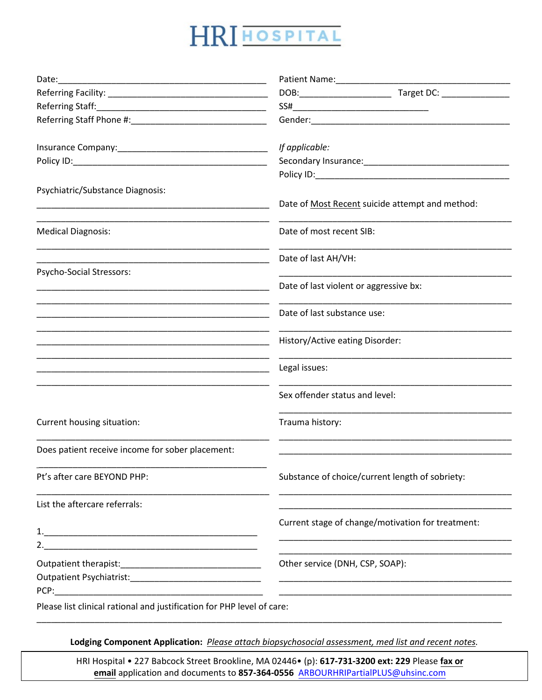## HRI HOSPITAL

|                                                                        | If applicable:                                    |
|------------------------------------------------------------------------|---------------------------------------------------|
|                                                                        |                                                   |
|                                                                        |                                                   |
| Psychiatric/Substance Diagnosis:                                       |                                                   |
|                                                                        | Date of Most Recent suicide attempt and method:   |
| <b>Medical Diagnosis:</b>                                              | Date of most recent SIB:                          |
|                                                                        | Date of last AH/VH:                               |
| Psycho-Social Stressors:                                               | Date of last violent or aggressive bx:            |
|                                                                        | Date of last substance use:                       |
|                                                                        | History/Active eating Disorder:                   |
|                                                                        | Legal issues:                                     |
|                                                                        | Sex offender status and level:                    |
| Current housing situation:                                             | Trauma history:                                   |
| Does patient receive income for sober placement:                       |                                                   |
| Pt's after care BEYOND PHP:                                            | Substance of choice/current length of sobriety:   |
| List the aftercare referrals:                                          |                                                   |
|                                                                        | Current stage of change/motivation for treatment: |
|                                                                        |                                                   |
|                                                                        | Other service (DNH, CSP, SOAP):                   |
|                                                                        |                                                   |
| PCP:                                                                   |                                                   |
| Please list clinical rational and justification for PHP level of care: |                                                   |

Lodging Component Application: Please attach biopsychosocial assessment, med list and recent notes.

HRI Hospital . 227 Babcock Street Brookline, MA 02446. (p): 617-731-3200 ext: 229 Please fax or email application and documents to 857-364-0556 ARBOURHRIPartialPLUS@uhsinc.com